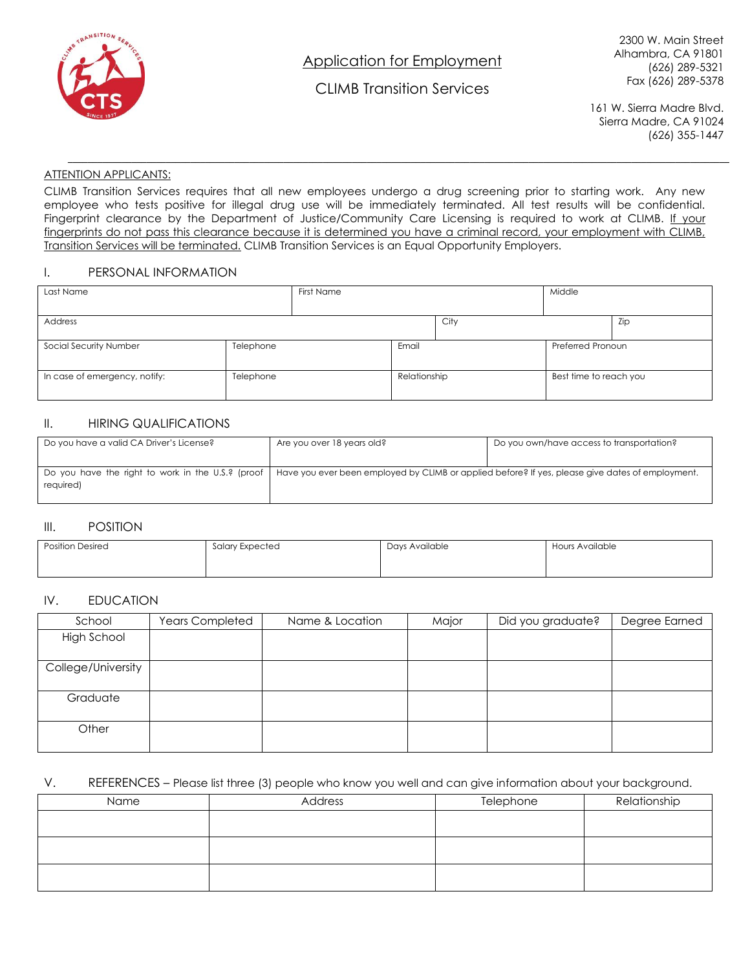

Application for Employment

CLIMB Transition Services

**\_\_\_\_\_\_\_\_\_\_\_\_\_\_\_\_\_\_\_\_\_\_\_\_\_\_\_\_\_\_\_\_\_\_\_\_\_\_\_\_\_\_\_\_\_\_\_\_\_\_\_\_\_\_\_\_\_\_\_\_\_\_\_\_\_\_\_\_\_\_\_\_\_\_\_\_\_\_\_\_\_\_\_\_\_\_\_\_\_\_\_\_\_\_\_\_\_\_\_\_\_\_\_\_\_\_\_\_\_\_\_\_\_\_\_\_\_\_\_\_\_\_\_\_\_\_\_\_\_\_\_\_\_\_\_**

2300 W. Main Street Alhambra, CA 91801 (626) 289-5321 Fax (626) 289-5378

161 W. Sierra Madre Blvd. Sierra Madre, CA 91024 (626) 355-1447

### ATTENTION APPLICANTS:

CLIMB Transition Services requires that all new employees undergo a drug screening prior to starting work. Any new employee who tests positive for illegal drug use will be immediately terminated. All test results will be confidential. Fingerprint clearance by the Department of Justice/Community Care Licensing is required to work at CLIMB. If your fingerprints do not pass this clearance because it is determined you have a criminal record, your employment with CLIMB, Transition Services will be terminated. CLIMB Transition Services is an Equal Opportunity Employers.

### I. PERSONAL INFORMATION

| Last Name                     |           | First Name |              |      | Middle                 |     |
|-------------------------------|-----------|------------|--------------|------|------------------------|-----|
| <b>Address</b>                |           |            |              | City |                        | Zip |
| Social Security Number        | Telephone |            | Email        |      | Preferred Pronoun      |     |
| In case of emergency, notify: | Telephone |            | Relationship |      | Best time to reach you |     |

# II. HIRING QUALIFICATIONS

| Do you have a valid CA Driver's License?          | Are you over 18 years old?                                                                       | Do you own/have access to transportation? |  |
|---------------------------------------------------|--------------------------------------------------------------------------------------------------|-------------------------------------------|--|
|                                                   |                                                                                                  |                                           |  |
| Do you have the right to work in the U.S.? (proof | Have you ever been employed by CLIMB or applied before? If yes, please give dates of employment. |                                           |  |
| required)                                         |                                                                                                  |                                           |  |
|                                                   |                                                                                                  |                                           |  |

#### III. POSITION

| <b>Position Desired</b><br>Salary Expected |  | Days Available | Hours Available |  |
|--------------------------------------------|--|----------------|-----------------|--|
|                                            |  |                |                 |  |

### IV. EDUCATION

| School             | <b>Years Completed</b> | Name & Location | Major | Did you graduate? | Degree Earned |
|--------------------|------------------------|-----------------|-------|-------------------|---------------|
| <b>High School</b> |                        |                 |       |                   |               |
|                    |                        |                 |       |                   |               |
| College/University |                        |                 |       |                   |               |
|                    |                        |                 |       |                   |               |
| Graduate           |                        |                 |       |                   |               |
|                    |                        |                 |       |                   |               |
| Other              |                        |                 |       |                   |               |
|                    |                        |                 |       |                   |               |

### V. REFERENCES – Please list three (3) people who know you well and can give information about your background.

| Name | Address | Telephone | Relationship |
|------|---------|-----------|--------------|
|      |         |           |              |
|      |         |           |              |
|      |         |           |              |
|      |         |           |              |
|      |         |           |              |
|      |         |           |              |